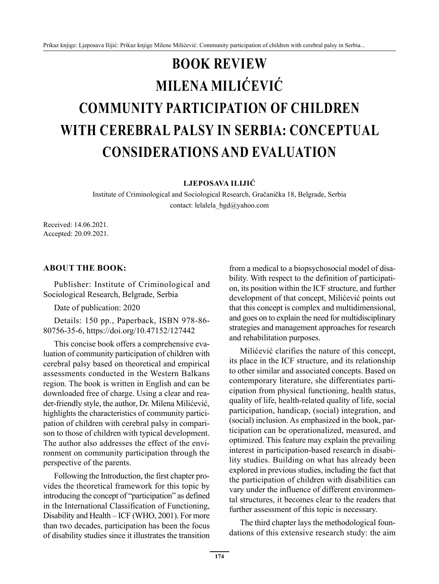## **BOOK REVIEW MILENA MILIĆEVIĆ COMMUNITY PARTICIPATION OF CHILDREN WITH CEREBRAL PALSY IN SERBIA: CONCEPTUAL CONSIDERATIONS AND EVALUATION**

**LJEPOSAVA ILIJIĆ** 

Institute of Criminological and Sociological Research, Gračanička 18, Belgrade, Serbia contact: lelalela\_bgd@yahoo.com

Received: 14.06.2021. Accepted: 20.09.2021.

## **ABOUT THE BOOK:**

Publisher: Institute of Criminological and Sociological Research, Belgrade, Serbia

Date of publication: 2020

Details: 150 pp., Paperback, ISBN 978-86- 80756-35-6, https://doi.org/10.47152/127442

This concise book offers a comprehensive evaluation of community participation of children with cerebral palsy based on theoretical and empirical assessments conducted in the Western Balkans region. The book is written in English and can be downloaded free of charge. Using a clear and reader-friendly style, the author, Dr. Milena Milićević, highlights the characteristics of community participation of children with cerebral palsy in comparison to those of children with typical development. The author also addresses the effect of the environment on community participation through the perspective of the parents.

Following the Introduction, the first chapter provides the theoretical framework for this topic by introducing the concept of "participation" as defined in the International Classification of Functioning, Disability and Health – ICF (WHO, 2001). For more than two decades, participation has been the focus of disability studies since it illustrates the transition from a medical to a biopsychosocial model of disability. With respect to the definition of participation, its position within the ICF structure, and further development of that concept, Milićević points out that this concept is complex and multidimensional, and goes on to explain the need for multidisciplinary strategies and management approaches for research and rehabilitation purposes.

Milićević clarifies the nature of this concept, its place in the ICF structure, and its relationship to other similar and associated concepts. Based on contemporary literature, she differentiates participation from physical functioning, health status, quality of life, health-related quality of life, social participation, handicap, (social) integration, and (social) inclusion. As emphasized in the book, participation can be operationalized, measured, and optimized. This feature may explain the prevailing interest in participation-based research in disability studies. Building on what has already been explored in previous studies, including the fact that the participation of children with disabilities can vary under the influence of different environmental structures, it becomes clear to the readers that further assessment of this topic is necessary.

The third chapter lays the methodological foundations of this extensive research study: the aim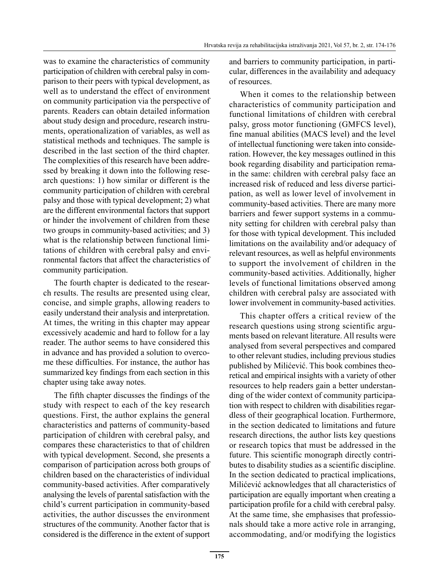was to examine the characteristics of community participation of children with cerebral palsy in comparison to their peers with typical development, as well as to understand the effect of environment on community participation via the perspective of parents. Readers can obtain detailed information about study design and procedure, research instruments, operationalization of variables, as well as statistical methods and techniques. The sample is described in the last section of the third chapter. The complexities of this research have been addressed by breaking it down into the following research questions: 1) how similar or different is the community participation of children with cerebral palsy and those with typical development; 2) what are the different environmental factors that support or hinder the involvement of children from these two groups in community-based activities; and 3) what is the relationship between functional limitations of children with cerebral palsy and environmental factors that affect the characteristics of community participation.

The fourth chapter is dedicated to the research results. The results are presented using clear, concise, and simple graphs, allowing readers to easily understand their analysis and interpretation. At times, the writing in this chapter may appear excessively academic and hard to follow for a lay reader. The author seems to have considered this in advance and has provided a solution to overcome these difficulties. For instance, the author has summarized key findings from each section in this chapter using take away notes.

The fifth chapter discusses the findings of the study with respect to each of the key research questions. First, the author explains the general characteristics and patterns of community-based participation of children with cerebral palsy, and compares these characteristics to that of children with typical development. Second, she presents a comparison of participation across both groups of children based on the characteristics of individual community-based activities. After comparatively analysing the levels of parental satisfaction with the child's current participation in community-based activities, the author discusses the environment structures of the community. Another factor that is considered is the difference in the extent of support and barriers to community participation, in particular, differences in the availability and adequacy of resources.

When it comes to the relationship between characteristics of community participation and functional limitations of children with cerebral palsy, gross motor functioning (GMFCS level), fine manual abilities (MACS level) and the level of intellectual functioning were taken into consideration. However, the key messages outlined in this book regarding disability and participation remain the same: children with cerebral palsy face an increased risk of reduced and less diverse participation, as well as lower level of involvement in community-based activities. There are many more barriers and fewer support systems in a community setting for children with cerebral palsy than for those with typical development. This included limitations on the availability and/or adequacy of relevant resources, as well as helpful environments to support the involvement of children in the community-based activities. Additionally, higher levels of functional limitations observed among children with cerebral palsy are associated with lower involvement in community-based activities.

This chapter offers a critical review of the research questions using strong scientific arguments based on relevant literature. All results were analysed from several perspectives and compared to other relevant studies, including previous studies published by Milićević. This book combines theoretical and empirical insights with a variety of other resources to help readers gain a better understanding of the wider context of community participation with respect to children with disabilities regardless of their geographical location. Furthermore, in the section dedicated to limitations and future research directions, the author lists key questions or research topics that must be addressed in the future. This scientific monograph directly contributes to disability studies as a scientific discipline. In the section dedicated to practical implications, Milićević acknowledges that all characteristics of participation are equally important when creating a participation profile for a child with cerebral palsy. At the same time, she emphasises that professionals should take a more active role in arranging, accommodating, and/or modifying the logistics